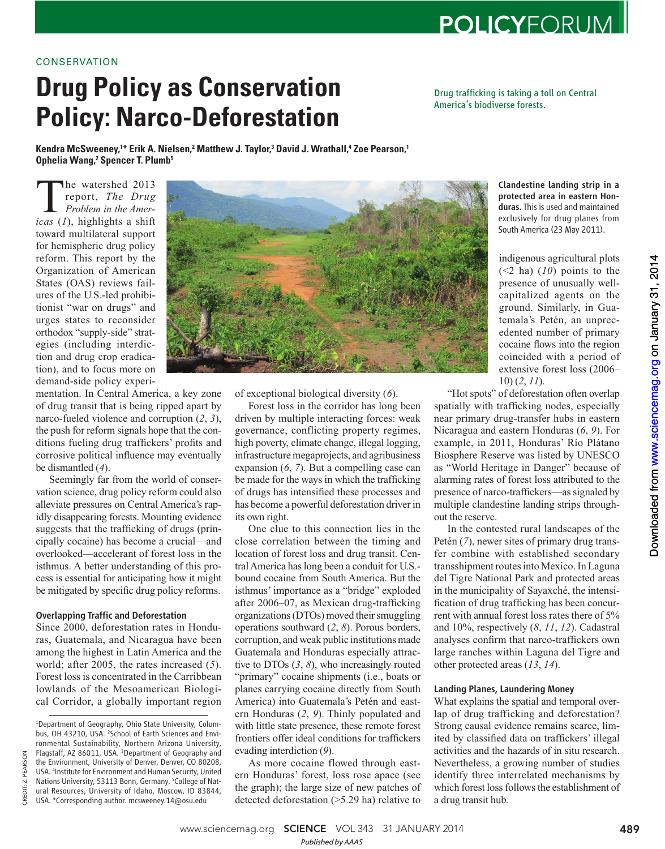# **CONSERVATION**

# **Drug Policy as Conservation Policy: Nar[co-Defores](http://www.sciencemag.org/)tation**

Kendra McSweeney,<sup>1\*</sup> Erik A. Nielsen,<sup>2</sup> Matthew J. Taylor,<sup>3</sup> David J. Wrathall,<sup>4</sup> Zoe Pearson,<sup>1</sup> Ophelia Wang,<sup>2</sup> Spencer T. Plumb<sup>5</sup>

**The watershed 2013**<br>report, *The Drug*<br>*Problem in the Americas* (*1*), highlights a shift report, *The Drug Problem in the Amer*toward multilateral support for hemispheric drug policy reform. This report by the Organization of American States (OAS) reviews failures of the U.S.-led prohibitionist "war on drugs" and urges states to reconsider orthodox "supply-side" strategies (including interdiction and drug crop eradication), and to focus more on demand-side policy experi-

mentation. In Central America, a key zone of drug transit that is being ripped apart by narco-fueled violence and corruption  $(2, 3)$ , the push for reform signals hope that the conditions fueling drug traffickers' profits and corrosive political influence may eventually be dismantled (4).

Seemingly far from the world of conservation science, drug policy reform could also alleviate pressures on Central America's rapidly disappearing forests. Mounting evidence suggests that the trafficking of drugs (principally cocaine) has become a crucial—and overlooked—accelerant of forest loss in the isthmus. A better understanding of this process is essential for anticipating how it might be mitigated by specific drug policy reforms.

# Overlapping Traffic and Deforestation

Since 2000, deforestation rates in Honduras, Guatemala, and Nicaragua have been among the highest in Latin America and the world; after 2005, the rates increased (5). Forest loss is concentrated in the Carribbean lowlands of the Mesoamerican Biological Corridor, a globally important region

CREDIT: Z. PEARSON

CREDIT: Z. PEARSON

of exceptional biological diversity ( *6*).

Forest loss in the corridor has long been driven by multiple interacting forces: weak governance, conflicting property regimes, high poverty, climate change, illegal logging, infrastructure megaprojects, and agribusiness expansion (6, 7). But a compelling case can be made for the ways in which the trafficking of drugs has intensified these processes and has become a powerful deforestation driver in its own right.

One clue to this connection lies in the close correlation between the timing and location of forest loss and drug transit. Central America has long been a conduit for U.S. bound cocaine from South America. But the isthmus' importance as a "bridge" exploded after 2006–07, as Mexican drug-trafficking organizations (DTOs) moved their smuggling operations southward ( *2*, *8*). Porous borders, corruption, and weak public institutions made Guatemala and Honduras especially attractive to DTOs  $(3, 8)$ , who increasingly routed "primary" cocaine shipments (i.e., boats or planes carrying cocaine directly from South America) into Guatemala's Petén and eastern Honduras (2, 9). Thinly populated and with little state presence, these remote forest frontiers offer ideal conditions for traffickers evading interdiction (9).

As more cocaine flowed through eastern Honduras' forest, loss rose apace (see the graph); the large size of new patches of detected deforestation (>5.29 ha) relative to

Clandestine landing strip in a protected area in eastern Honduras. This is used and maintained exclusively for drug planes from South America (23 May 2011).

indigenous agricultural plots  $(\leq 2$  ha)  $(10)$  points to the

"Hot spots" of deforestation often overlap spatially with trafficking nodes, especially near primary drug-transfer hubs in eastern Nicaragua and eastern Honduras (6, 9). For example, in 2011, Honduras' Río Plátano Biosphere Reserve was listed by UNESCO as "World Heritage in Danger" because of alarming rates of forest loss attributed to the presence of narco-traffickers—as signaled by multiple clandestine landing strips throughout the reserve.

In the contested rural landscapes of the Petén (7), newer sites of primary drug transfer combine with established secondary transshipment routes into Mexico. In Laguna del Tigre National Park and protected areas in the municipality of Sayaxché, the intensification of drug trafficking has been concurrent with annual forest loss rates there of 5% and 10%, respectively ( *8*, *11*, *12*). Cadastral analyses confirm that narco-traffickers own large ranches within Laguna del Tigre and other protected areas ( *13*, *14*).

# Landing Planes, Laundering Money

What explains the spatial and temporal overlap of drug trafficking and deforestation? Strong causal evidence remains scarce, limited by classified data on traffickers' illegal activities and the hazards of in situ research. Nevertheless, a growing number of studies identify three interrelated mechanisms by which forest loss follows the establishment of a drug transit hub.

presence of unusually wellcapitalized agents on the ground. Similarly, in Guatemala's Petén, an unprecedented number of primary cocaine flows into the region coincided with a period of extensive forest loss (2006–  $10) (2, 11)$ .

Drug trafficking is taking a toll on Central America's biodiverse forests.





<sup>1</sup> Department of Geography, Ohio State University, Columbus, OH 43210, USA. <sup>2</sup>School of Earth Sciences and Environmental Sustainability, Northern Arizona University, Flagstaff, AZ 86011, USA. <sup>3</sup>Department of Geography and the Environment, University of Denver, Denver, CO 80208, USA. 4 Institute for Environment and Human Security, United Nations University, 53113 Bonn, Germany. <sup>5</sup>College of Natural Resources, University of Idaho, Moscow, ID 83844, USA. \*Corresponding author. mcsweeney.14@osu.edu